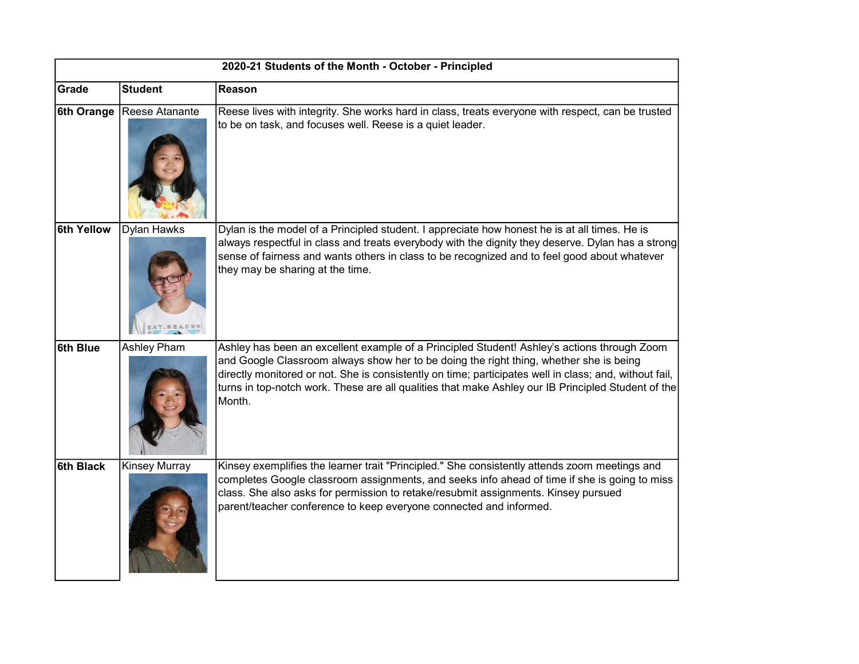| 2020-21 Students of the Month - October - Principled |                             |                                                                                                                                                                                                                                                                                                                                                                                                                 |  |  |
|------------------------------------------------------|-----------------------------|-----------------------------------------------------------------------------------------------------------------------------------------------------------------------------------------------------------------------------------------------------------------------------------------------------------------------------------------------------------------------------------------------------------------|--|--|
| Grade                                                | <b>Student</b>              | Reason                                                                                                                                                                                                                                                                                                                                                                                                          |  |  |
|                                                      | 6th Orange   Reese Atanante | Reese lives with integrity. She works hard in class, treats everyone with respect, can be trusted<br>to be on task, and focuses well. Reese is a quiet leader.                                                                                                                                                                                                                                                  |  |  |
| 6th Yellow                                           | Dylan Hawks                 | Dylan is the model of a Principled student. I appreciate how honest he is at all times. He is<br>always respectful in class and treats everybody with the dignity they deserve. Dylan has a strong<br>sense of fairness and wants others in class to be recognized and to feel good about whatever<br>they may be sharing at the time.                                                                          |  |  |
| 6th Blue                                             | <b>Ashley Pham</b>          | Ashley has been an excellent example of a Principled Student! Ashley's actions through Zoom<br>and Google Classroom always show her to be doing the right thing, whether she is being<br>directly monitored or not. She is consistently on time; participates well in class; and, without fail,<br>turns in top-notch work. These are all qualities that make Ashley our IB Principled Student of the<br>Month. |  |  |
| 6th Black                                            | <b>Kinsey Murray</b>        | Kinsey exemplifies the learner trait "Principled." She consistently attends zoom meetings and<br>completes Google classroom assignments, and seeks info ahead of time if she is going to miss<br>class. She also asks for permission to retake/resubmit assignments. Kinsey pursued<br>parent/teacher conference to keep everyone connected and informed.                                                       |  |  |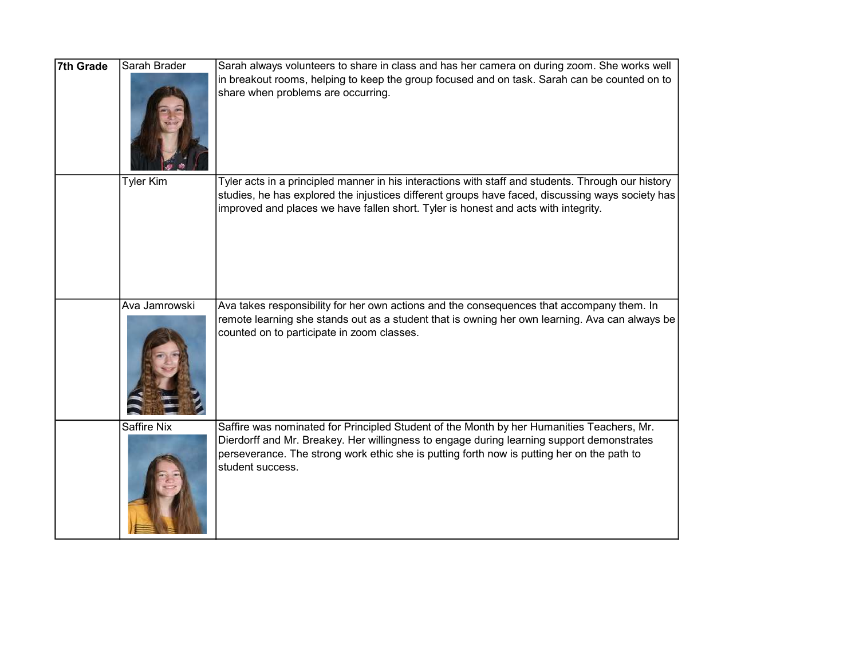| 7th Grade | Sarah Brader       | Sarah always volunteers to share in class and has her camera on during zoom. She works well<br>in breakout rooms, helping to keep the group focused and on task. Sarah can be counted on to<br>share when problems are occurring.                                                                        |
|-----------|--------------------|----------------------------------------------------------------------------------------------------------------------------------------------------------------------------------------------------------------------------------------------------------------------------------------------------------|
|           | <b>Tyler Kim</b>   | Tyler acts in a principled manner in his interactions with staff and students. Through our history<br>studies, he has explored the injustices different groups have faced, discussing ways society has<br>improved and places we have fallen short. Tyler is honest and acts with integrity.             |
|           | Ava Jamrowski      | Ava takes responsibility for her own actions and the consequences that accompany them. In<br>remote learning she stands out as a student that is owning her own learning. Ava can always be<br>counted on to participate in zoom classes.                                                                |
|           | <b>Saffire Nix</b> | Saffire was nominated for Principled Student of the Month by her Humanities Teachers, Mr.<br>Dierdorff and Mr. Breakey. Her willingness to engage during learning support demonstrates<br>perseverance. The strong work ethic she is putting forth now is putting her on the path to<br>student success. |